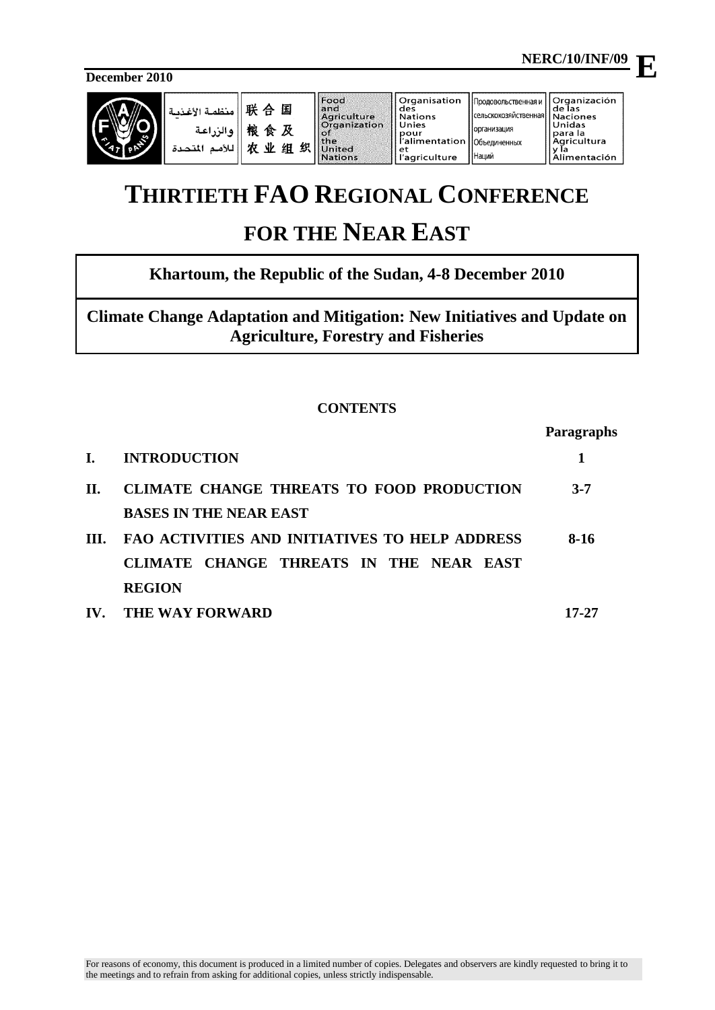$\mathbf{F}$ 

**December 2010**



| امنظمة الأغذمة<br>والزراعة<br>اللأمم المتحدة | 联合<br>国<br>粮食及<br>贞<br>业<br>织丨<br>组 | Food<br>and<br>Agriculture<br>Organization<br>ാ<br><b>I</b> the<br>United<br><b>Nations</b> | Organisation<br>l des<br>ll Nations<br>II Unies<br>pour<br>l'alimentation   Объединенных<br>ll et<br>l'agriculture | Продовольственная и<br>(сельскохозяйственная Naciones<br><b>Порганизация</b><br><b> </b> Наций | <b>Organización</b><br>l de las<br>Unidas<br>para la<br>  Agricultura<br>Alimentación |
|----------------------------------------------|-------------------------------------|---------------------------------------------------------------------------------------------|--------------------------------------------------------------------------------------------------------------------|------------------------------------------------------------------------------------------------|---------------------------------------------------------------------------------------|
|----------------------------------------------|-------------------------------------|---------------------------------------------------------------------------------------------|--------------------------------------------------------------------------------------------------------------------|------------------------------------------------------------------------------------------------|---------------------------------------------------------------------------------------|

# **THIRTIETH FAO REGIONAL CONFERENCE**

# **FOR THE NEAR EAST**

# **Khartoum, the Republic of the Sudan, 4-8 December 2010**

**Climate Change Adaptation and Mitigation: New Initiatives and Update on Agriculture, Forestry and Fisheries**

# **CONTENTS**

|      |                                                  | Paragraphs |
|------|--------------------------------------------------|------------|
| L.   | <b>INTRODUCTION</b>                              | 1          |
| II.  | <b>CLIMATE CHANGE THREATS TO FOOD PRODUCTION</b> | $3 - 7$    |
|      | <b>BASES IN THE NEAR EAST</b>                    |            |
| III. | FAO ACTIVITIES AND INITIATIVES TO HELP ADDRESS   | 8-16       |
|      | CLIMATE CHANGE THREATS IN THE NEAR EAST          |            |
|      | <b>REGION</b>                                    |            |
| IV.  | THE WAY FORWARD                                  | 17-27      |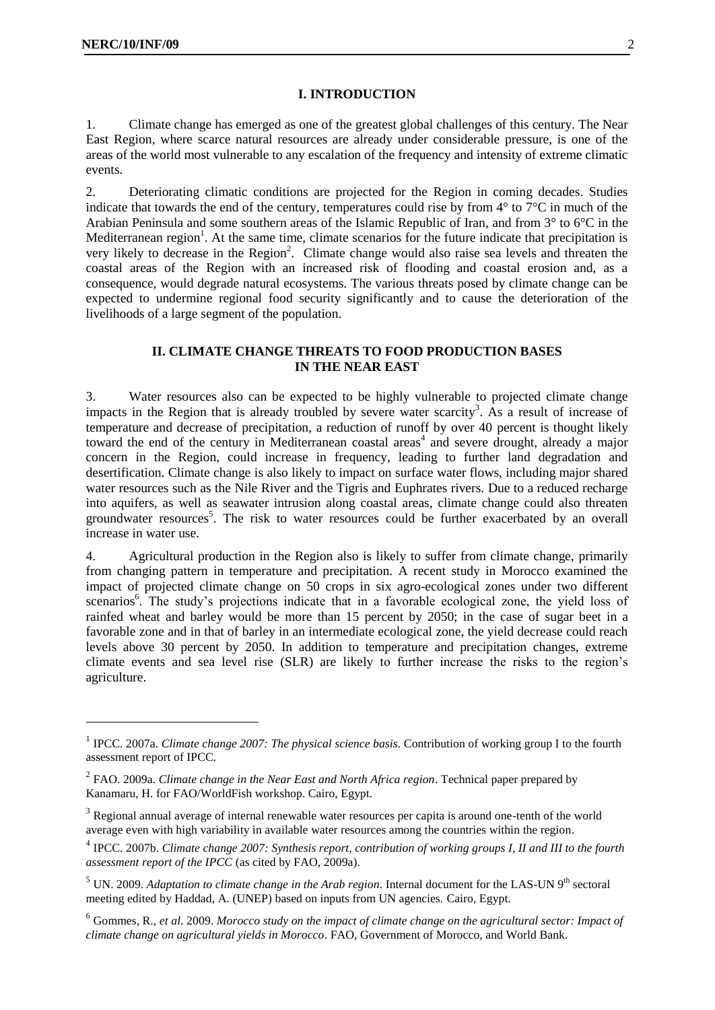#### **I. INTRODUCTION**

1. Climate change has emerged as one of the greatest global challenges of this century. The Near East Region, where scarce natural resources are already under considerable pressure, is one of the areas of the world most vulnerable to any escalation of the frequency and intensity of extreme climatic events.

2. Deteriorating climatic conditions are projected for the Region in coming decades. Studies indicate that towards the end of the century, temperatures could rise by from 4° to 7°C in much of the Arabian Peninsula and some southern areas of the Islamic Republic of Iran, and from 3° to 6°C in the Mediterranean region<sup>1</sup>. At the same time, climate scenarios for the future indicate that precipitation is very likely to decrease in the Region<sup>2</sup>. Climate change would also raise sea levels and threaten the coastal areas of the Region with an increased risk of flooding and coastal erosion and, as a consequence, would degrade natural ecosystems. The various threats posed by climate change can be expected to undermine regional food security significantly and to cause the deterioration of the livelihoods of a large segment of the population.

### **II. CLIMATE CHANGE THREATS TO FOOD PRODUCTION BASES IN THE NEAR EAST**

3. Water resources also can be expected to be highly vulnerable to projected climate change impacts in the Region that is already troubled by severe water scarcity<sup>3</sup>. As a result of increase of temperature and decrease of precipitation, a reduction of runoff by over 40 percent is thought likely toward the end of the century in Mediterranean coastal areas<sup>4</sup> and severe drought, already a major concern in the Region, could increase in frequency, leading to further land degradation and desertification. Climate change is also likely to impact on surface water flows, including major shared water resources such as the Nile River and the Tigris and Euphrates rivers. Due to a reduced recharge into aquifers, as well as seawater intrusion along coastal areas, climate change could also threaten groundwater resources<sup>5</sup>. The risk to water resources could be further exacerbated by an overall increase in water use.

4. Agricultural production in the Region also is likely to suffer from climate change, primarily from changing pattern in temperature and precipitation. A recent study in Morocco examined the impact of projected climate change on 50 crops in six agro-ecological zones under two different scenarios<sup>6</sup>. The study's projections indicate that in a favorable ecological zone, the yield loss of rainfed wheat and barley would be more than 15 percent by 2050; in the case of sugar beet in a favorable zone and in that of barley in an intermediate ecological zone, the yield decrease could reach levels above 30 percent by 2050. In addition to temperature and precipitation changes, extreme climate events and sea level rise (SLR) are likely to further increase the risks to the region's agriculture.

<sup>&</sup>lt;sup>1</sup> IPCC. 2007a. *Climate change 2007: The physical science basis*. Contribution of working group I to the fourth assessment report of IPCC.

<sup>2</sup> FAO. 2009a. *Climate change in the Near East and North Africa region*. Technical paper prepared by Kanamaru, H. for FAO/WorldFish workshop. Cairo, Egypt.

 $3$  Regional annual average of internal renewable water resources per capita is around one-tenth of the world average even with high variability in available water resources among the countries within the region.

<sup>4</sup> IPCC. 2007b. *Climate change 2007: Synthesis report, contribution of working groups I, II and III to the fourth assessment report of the IPCC* (as cited by FAO, 2009a).

 $<sup>5</sup>$  UN. 2009. *Adaptation to climate change in the Arab region*. Internal document for the LAS-UN 9<sup>th</sup> sectoral</sup> meeting edited by Haddad, A. (UNEP) based on inputs from UN agencies. Cairo, Egypt.

<sup>6</sup> Gommes, R., *et al*. 2009. *Morocco study on the impact of climate change on the agricultural sector: Impact of climate change on agricultural yields in Morocco*. FAO, Government of Morocco, and World Bank.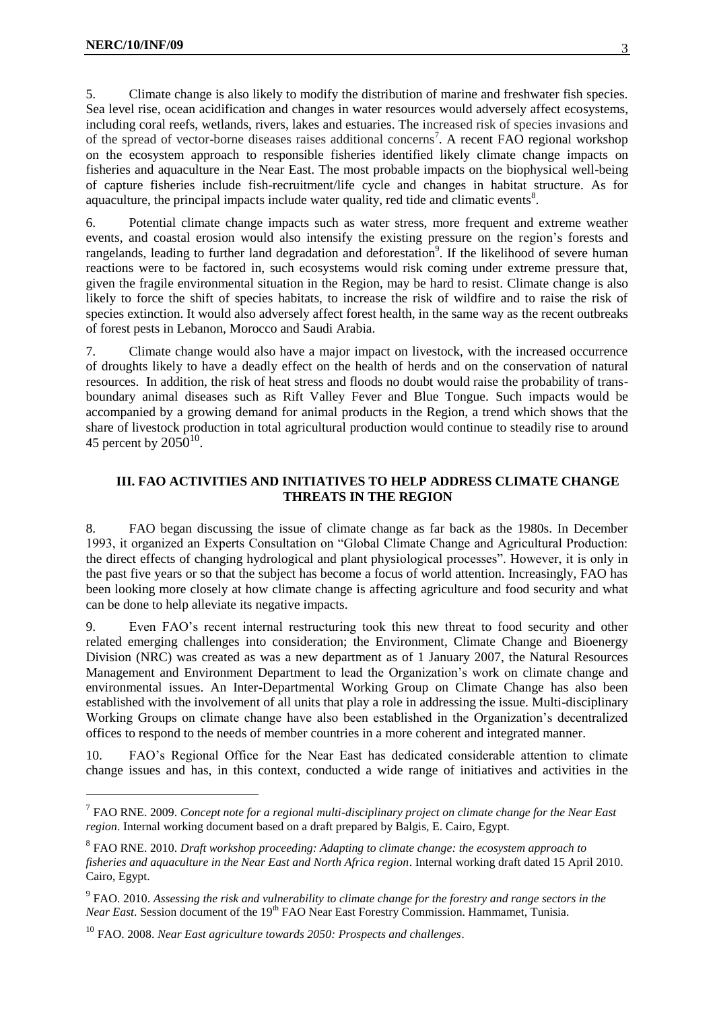5. Climate change is also likely to modify the distribution of marine and freshwater fish species. Sea level rise, ocean acidification and changes in water resources would adversely affect ecosystems, including coral reefs, wetlands, rivers, lakes and estuaries. The increased risk of species invasions and of the spread of vector-borne diseases raises additional concerns<sup>7</sup>. A recent FAO regional workshop on the ecosystem approach to responsible fisheries identified likely climate change impacts on fisheries and aquaculture in the Near East. The most probable impacts on the biophysical well-being of capture fisheries include fish-recruitment/life cycle and changes in habitat structure. As for aquaculture, the principal impacts include water quality, red tide and climatic events $8$ .

6. Potential climate change impacts such as water stress, more frequent and extreme weather events, and coastal erosion would also intensify the existing pressure on the region's forests and rangelands, leading to further land degradation and deforestation<sup>9</sup>. If the likelihood of severe human reactions were to be factored in, such ecosystems would risk coming under extreme pressure that, given the fragile environmental situation in the Region, may be hard to resist. Climate change is also likely to force the shift of species habitats, to increase the risk of wildfire and to raise the risk of species extinction. It would also adversely affect forest health, in the same way as the recent outbreaks of forest pests in Lebanon, Morocco and Saudi Arabia.

7. Climate change would also have a major impact on livestock, with the increased occurrence of droughts likely to have a deadly effect on the health of herds and on the conservation of natural resources. In addition, the risk of heat stress and floods no doubt would raise the probability of transboundary animal diseases such as Rift Valley Fever and Blue Tongue. Such impacts would be accompanied by a growing demand for animal products in the Region, a trend which shows that the share of livestock production in total agricultural production would continue to steadily rise to around 45 percent by  $2050^{10}$ .

## **III. FAO ACTIVITIES AND INITIATIVES TO HELP ADDRESS CLIMATE CHANGE THREATS IN THE REGION**

8. FAO began discussing the issue of climate change as far back as the 1980s. In December 1993, it organized an Experts Consultation on "Global Climate Change and Agricultural Production: the direct effects of changing hydrological and plant physiological processes". However, it is only in the past five years or so that the subject has become a focus of world attention. Increasingly, FAO has been looking more closely at how climate change is affecting agriculture and food security and what can be done to help alleviate its negative impacts.

9. Even FAO's recent internal restructuring took this new threat to food security and other related emerging challenges into consideration; the Environment, Climate Change and Bioenergy Division (NRC) was created as was a new department as of 1 January 2007, the Natural Resources Management and Environment Department to lead the Organization's work on climate change and environmental issues. An Inter-Departmental Working Group on Climate Change has also been established with the involvement of all units that play a role in addressing the issue. Multi-disciplinary Working Groups on climate change have also been established in the Organization's decentralized offices to respond to the needs of member countries in a more coherent and integrated manner.

10. FAO's Regional Office for the Near East has dedicated considerable attention to climate change issues and has, in this context, conducted a wide range of initiatives and activities in the

<sup>7</sup> FAO RNE. 2009. *Concept note for a regional multi-disciplinary project on climate change for the Near East region*. Internal working document based on a draft prepared by Balgis, E. Cairo, Egypt.

<sup>8</sup> FAO RNE. 2010. *Draft workshop proceeding: Adapting to climate change: the ecosystem approach to fisheries and aquaculture in the Near East and North Africa region*. Internal working draft dated 15 April 2010. Cairo, Egypt.

<sup>9</sup> FAO. 2010. *Assessing the risk and vulnerability to climate change for the forestry and range sectors in the Near East*. Session document of the 19<sup>th</sup> FAO Near East Forestry Commission. Hammamet, Tunisia.

<sup>10</sup> FAO. 2008. *Near East agriculture towards 2050: Prospects and challenges*.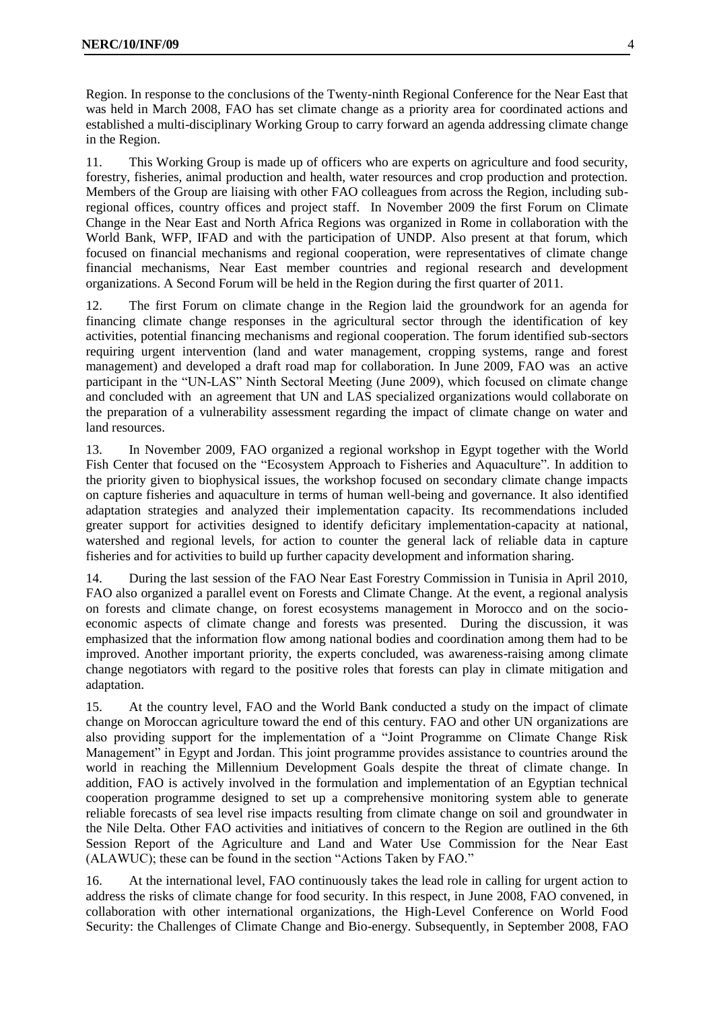Region. In response to the conclusions of the Twenty-ninth Regional Conference for the Near East that was held in March 2008, FAO has set climate change as a priority area for coordinated actions and established a multi-disciplinary Working Group to carry forward an agenda addressing climate change in the Region.

11. This Working Group is made up of officers who are experts on agriculture and food security, forestry, fisheries, animal production and health, water resources and crop production and protection. Members of the Group are liaising with other FAO colleagues from across the Region, including subregional offices, country offices and project staff. In November 2009 the first Forum on Climate Change in the Near East and North Africa Regions was organized in Rome in collaboration with the World Bank, WFP, IFAD and with the participation of UNDP. Also present at that forum, which focused on financial mechanisms and regional cooperation, were representatives of climate change financial mechanisms, Near East member countries and regional research and development organizations. A Second Forum will be held in the Region during the first quarter of 2011.

12. The first Forum on climate change in the Region laid the groundwork for an agenda for financing climate change responses in the agricultural sector through the identification of key activities, potential financing mechanisms and regional cooperation. The forum identified sub-sectors requiring urgent intervention (land and water management, cropping systems, range and forest management) and developed a draft road map for collaboration. In June 2009, FAO was an active participant in the "UN-LAS" Ninth Sectoral Meeting (June 2009), which focused on climate change and concluded with an agreement that UN and LAS specialized organizations would collaborate on the preparation of a vulnerability assessment regarding the impact of climate change on water and land resources.

13. In November 2009, FAO organized a regional workshop in Egypt together with the World Fish Center that focused on the "Ecosystem Approach to Fisheries and Aquaculture". In addition to the priority given to biophysical issues, the workshop focused on secondary climate change impacts on capture fisheries and aquaculture in terms of human well-being and governance. It also identified adaptation strategies and analyzed their implementation capacity. Its recommendations included greater support for activities designed to identify deficitary implementation-capacity at national, watershed and regional levels, for action to counter the general lack of reliable data in capture fisheries and for activities to build up further capacity development and information sharing.

14. During the last session of the FAO Near East Forestry Commission in Tunisia in April 2010, FAO also organized a parallel event on Forests and Climate Change. At the event, a regional analysis on forests and climate change, on forest ecosystems management in Morocco and on the socioeconomic aspects of climate change and forests was presented. During the discussion, it was emphasized that the information flow among national bodies and coordination among them had to be improved. Another important priority, the experts concluded, was awareness-raising among climate change negotiators with regard to the positive roles that forests can play in climate mitigation and adaptation.

15. At the country level, FAO and the World Bank conducted a study on the impact of climate change on Moroccan agriculture toward the end of this century. FAO and other UN organizations are also providing support for the implementation of a "Joint Programme on Climate Change Risk Management" in Egypt and Jordan. This joint programme provides assistance to countries around the world in reaching the [Millennium Development Goals](http://www.un.org/millenniumgoals/) despite the threat of climate change. In addition, FAO is actively involved in the formulation and implementation of an Egyptian technical cooperation programme designed to set up a comprehensive monitoring system able to generate reliable forecasts of sea level rise impacts resulting from climate change on soil and groundwater in the Nile Delta. Other FAO activities and initiatives of concern to the Region are outlined in the 6th Session Report of the Agriculture and Land and Water Use Commission for the Near East (ALAWUC); these can be found in the section "Actions Taken by FAO."

16. At the international level, FAO continuously takes the lead role in calling for urgent action to address the risks of climate change for food security. In this respect, in June 2008, FAO convened, in collaboration with other international organizations, the High-Level Conference on World Food Security: the Challenges of Climate Change and Bio-energy. Subsequently, in September 2008, FAO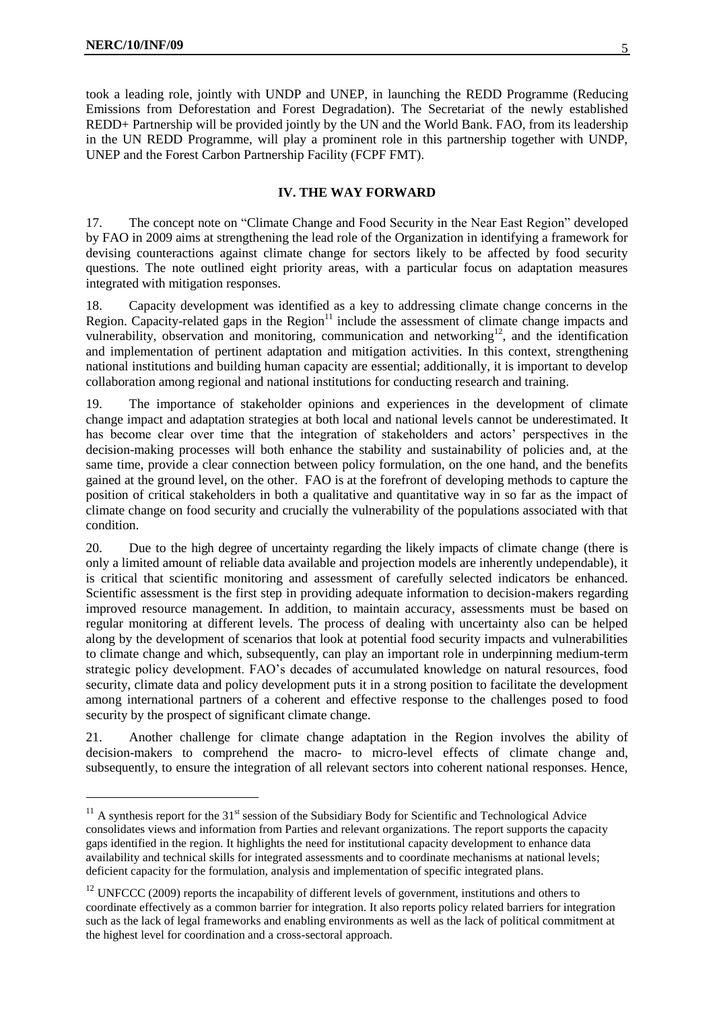took a leading role, jointly with UNDP and UNEP, in launching the REDD Programme (Reducing Emissions from Deforestation and Forest Degradation). The Secretariat of the newly established REDD+ Partnership will be provided jointly by the UN and the World Bank. FAO, from its leadership in the UN REDD Programme, will play a prominent role in this partnership together with UNDP, UNEP and the Forest Carbon Partnership Facility (FCPF FMT).

### **IV. THE WAY FORWARD**

17. The concept note on "Climate Change and Food Security in the Near East Region" developed by FAO in 2009 aims at strengthening the lead role of the Organization in identifying a framework for devising counteractions against climate change for sectors likely to be affected by food security questions. The note outlined eight priority areas, with a particular focus on adaptation measures integrated with mitigation responses.

18. Capacity development was identified as a key to addressing climate change concerns in the Region. Capacity-related gaps in the Region $11$  include the assessment of climate change impacts and vulnerability, observation and monitoring, communication and networking<sup>12</sup>, and the identification and implementation of pertinent adaptation and mitigation activities. In this context, strengthening national institutions and building human capacity are essential; additionally, it is important to develop collaboration among regional and national institutions for conducting research and training.

19. The importance of stakeholder opinions and experiences in the development of climate change impact and adaptation strategies at both local and national levels cannot be underestimated. It has become clear over time that the integration of stakeholders and actors' perspectives in the decision-making processes will both enhance the stability and sustainability of policies and, at the same time, provide a clear connection between policy formulation, on the one hand, and the benefits gained at the ground level, on the other. FAO is at the forefront of developing methods to capture the position of critical stakeholders in both a qualitative and quantitative way in so far as the impact of climate change on food security and crucially the vulnerability of the populations associated with that condition.

20. Due to the high degree of uncertainty regarding the likely impacts of climate change (there is only a limited amount of reliable data available and projection models are inherently undependable), it is critical that scientific monitoring and assessment of carefully selected indicators be enhanced. Scientific assessment is the first step in providing adequate information to decision-makers regarding improved resource management. In addition, to maintain accuracy, assessments must be based on regular monitoring at different levels. The process of dealing with uncertainty also can be helped along by the development of scenarios that look at potential food security impacts and vulnerabilities to climate change and which, subsequently, can play an important role in underpinning medium-term strategic policy development. FAO's decades of accumulated knowledge on natural resources, food security, climate data and policy development puts it in a strong position to facilitate the development among international partners of a coherent and effective response to the challenges posed to food security by the prospect of significant climate change.

21. Another challenge for climate change adaptation in the Region involves the ability of decision-makers to comprehend the macro- to micro-level effects of climate change and, subsequently, to ensure the integration of all relevant sectors into coherent national responses. Hence,

 $11$  A synthesis report for the 31<sup>st</sup> session of the Subsidiary Body for Scientific and Technological Advice consolidates views and information from Parties and relevant organizations. The report supports the capacity gaps identified in the region. It highlights the need for institutional capacity development to enhance data availability and technical skills for integrated assessments and to coordinate mechanisms at national levels; deficient capacity for the formulation, analysis and implementation of specific integrated plans.

 $12$  UNFCCC (2009) reports the incapability of different levels of government, institutions and others to coordinate effectively as a common barrier for integration. It also reports policy related barriers for integration such as the lack of legal frameworks and enabling environments as well as the lack of political commitment at the highest level for coordination and a cross-sectoral approach.